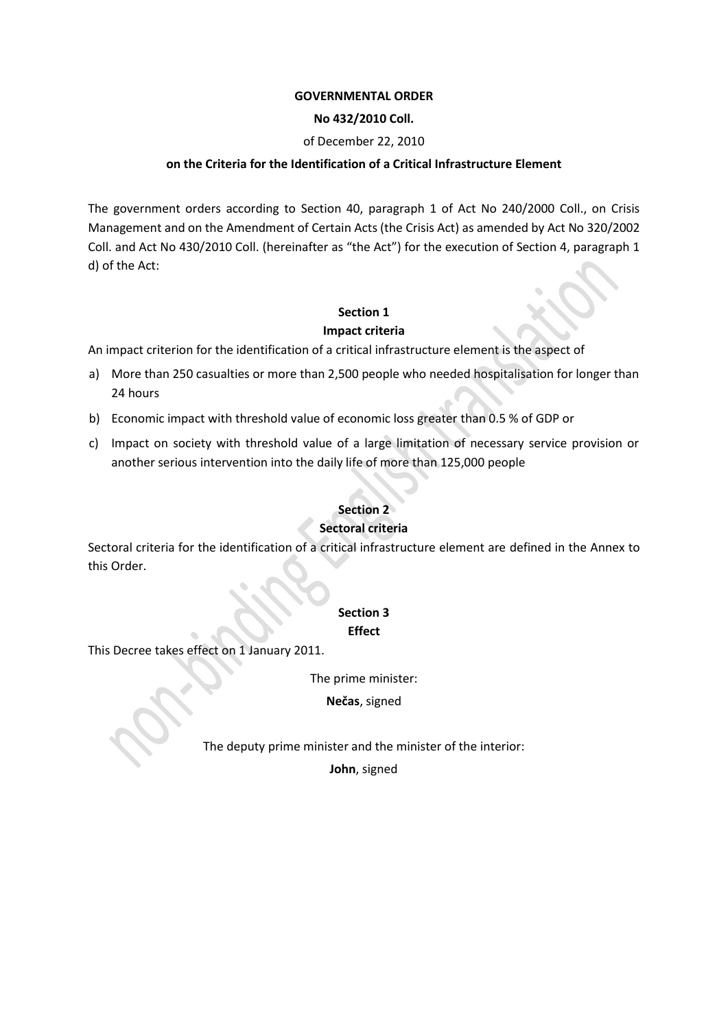#### **GOVERNMENTAL ORDER**

### **No 432/2010 Coll.**

# of December 22, 2010

### **on the Criteria for the Identification of a Critical Infrastructure Element**

The government orders according to [Section 40,](http://www.beck-online.cz/bo/document-view.seam?documentId=onrf6mrqgayf6mrugaxhazruga) paragraph 1 of Act No 240/2000 Coll., on Crisis Management and on the Amendment of Certain Acts (th[e Crisis Act\)](http://www.beck-online.cz/bo/document-view.seam?documentId=onrf6mrqgayf6mruga) as amended by Act No [320/2002](http://www.beck-online.cz/bo/document-view.seam?documentId=onrf6mrqgazf6mzsga)  [Coll.](http://www.beck-online.cz/bo/document-view.seam?documentId=onrf6mrqgazf6mzsga) and Act No [430/2010 Coll.](http://www.beck-online.cz/bo/document-view.seam?documentId=onrf6mrqgeyf6nbtga) (hereinafter as "the Act") for the execution of Section 4, paragraph 1 d) of the Act:

# **Section 1**

# **Impact criteria**

An impact criterion for the identification of a critical infrastructure element is the aspect of

- a) More than 250 casualties or more than 2,500 people who needed hospitalisation for longer than 24 hours
- b) Economic impact with threshold value of economic loss greater than 0.5 % of GDP or
- c) Impact on society with threshold value of a large limitation of necessary service provision or another serious intervention into the daily life of more than 125,000 people

### **Section 2**

### **Sectoral criteria**

Sectoral criteria for the identification of a critical infrastructure element are defined in the Annex to this Order.

# **Section 3**

#### **Effect**

This Decree takes effect on 1 January 2011.

The prime minister:

**Nečas**, signed

The deputy prime minister and the minister of the interior:

**John**, signed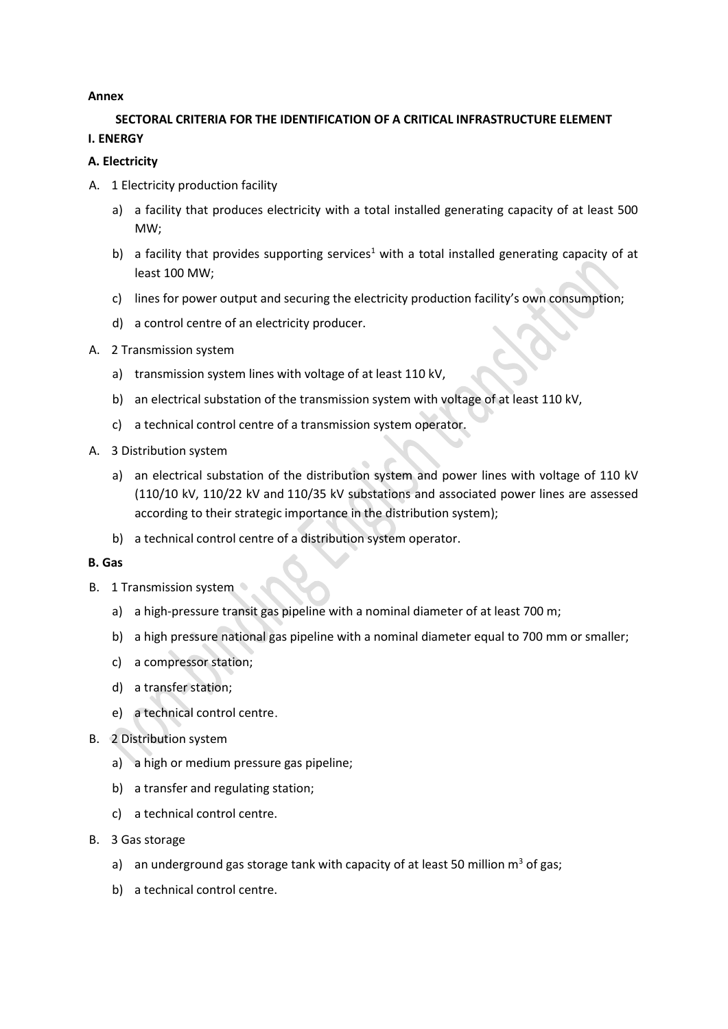#### **Annex**

# **SECTORAL CRITERIA FOR THE IDENTIFICATION OF A CRITICAL INFRASTRUCTURE ELEMENT I. ENERGY**

# **A. Electricity**

- A. 1 Electricity production facility
	- a) a facility that produces electricity with a total installed generating capacity of at least 500 MW;
	- b) a facility that provides supporting services<sup>1</sup> with a total installed generating capacity of at least 100 MW;
	- c) lines for power output and securing the electricity production facility's own consumption;
	- d) a control centre of an electricity producer.
- A. 2 Transmission system
	- a) transmission system lines with voltage of at least 110 kV,
	- b) an electrical substation of the transmission system with voltage of at least 110 kV,
	- c) a technical control centre of a transmission system operator.
- A. 3 Distribution system
	- a) an electrical substation of the distribution system and power lines with voltage of 110 kV (110/10 kV, 110/22 kV and 110/35 kV substations and associated power lines are assessed according to their strategic importance in the distribution system);
	- b) a technical control centre of a distribution system operator.

#### **B. Gas**

- B. 1 Transmission system O
	- a) a high-pressure transit gas pipeline with a nominal diameter of at least 700 m;
	- b) a high pressure national gas pipeline with a nominal diameter equal to 700 mm or smaller;
	- c) a compressor station;
	- d) a transfer station;
	- e) a technical control centre․
- B. 2 Distribution system
	- a) a high or medium pressure gas pipeline;
	- b) a transfer and regulating station;
	- c) a technical control centre.
- B. 3 Gas storage
	- a) an underground gas storage tank with capacity of at least 50 million  $m^3$  of gas;
	- b) a technical control centre.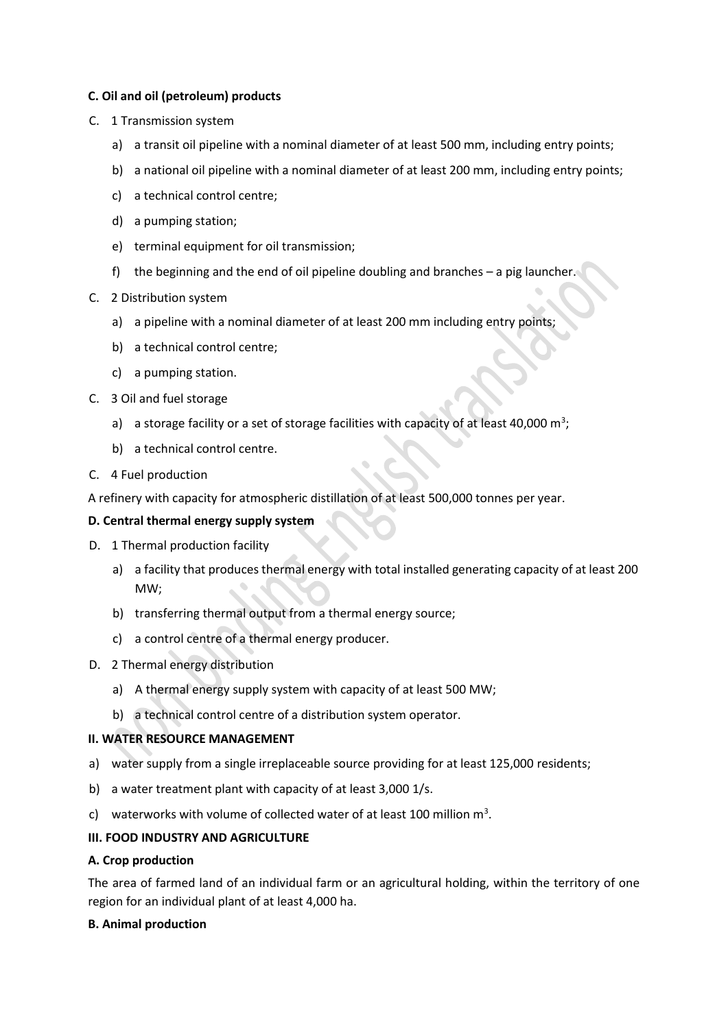# **C. Oil and oil (petroleum) products**

- C. 1 Transmission system
	- a) a transit oil pipeline with a nominal diameter of at least 500 mm, including entry points;
	- b) a national oil pipeline with a nominal diameter of at least 200 mm, including entry points;
	- c) a technical control centre;
	- d) a pumping station;
	- e) terminal equipment for oil transmission;
	- f) the beginning and the end of oil pipeline doubling and branches a pig launcher.
- C. 2 Distribution system
	- a) a pipeline with a nominal diameter of at least 200 mm including entry points;
	- b) a technical control centre;
	- c) a pumping station.
- C. 3 Oil and fuel storage
	- a) a storage facility or a set of storage facilities with capacity of at least 40,000  $\text{m}^3$ ;
	- b) a technical control centre.
- C. 4 Fuel production

A refinery with capacity for atmospheric distillation of at least 500,000 tonnes per year.

### **D. Central thermal energy supply system**

- D. 1 Thermal production facility
	- a) a facility that produces thermal energy with total installed generating capacity of at least 200 MW;
	- b) transferring thermal output from a thermal energy source;
	- c) a control centre of a thermal energy producer.
- D. 2 Thermal energy distribution
	- a) A thermal energy supply system with capacity of at least 500 MW;
	- b) a technical control centre of a distribution system operator.

# **II. WATER RESOURCE MANAGEMENT**

- a) water supply from a single irreplaceable source providing for at least 125,000 residents;
- b) a water treatment plant with capacity of at least 3,000 1/s.
- c) waterworks with volume of collected water of at least 100 million  $m^3$ .

# **III. FOOD INDUSTRY AND AGRICULTURE**

#### **A. Crop production**

The area of farmed land of an individual farm or an agricultural holding, within the territory of one region for an individual plant of at least 4,000 ha.

#### **B. Animal production**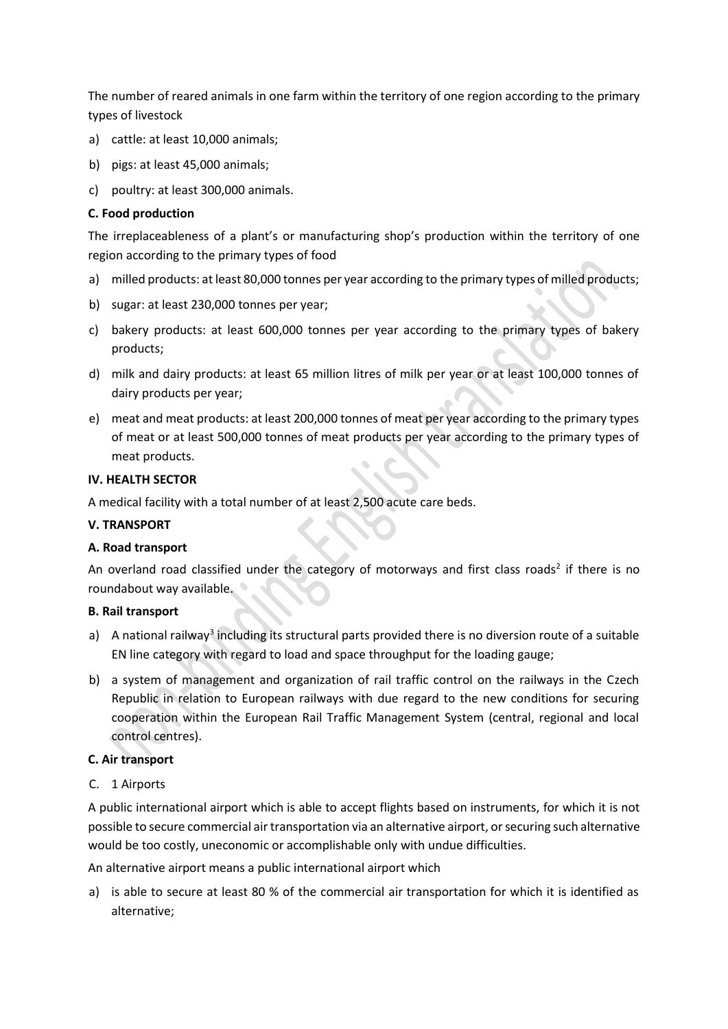The number of reared animals in one farm within the territory of one region according to the primary types of livestock

- a) cattle: at least 10,000 animals;
- b) pigs: at least 45,000 animals;
- c) poultry: at least 300,000 animals.

### **C. Food production**

The irreplaceableness of a plant's or manufacturing shop's production within the territory of one region according to the primary types of food

- a) milled products: at least 80,000 tonnes per year according to the primary types of milled products;
- b) sugar: at least 230,000 tonnes per year;
- c) bakery products: at least 600,000 tonnes per year according to the primary types of bakery products;
- d) milk and dairy products: at least 65 million litres of milk per year or at least 100,000 tonnes of dairy products per year;
- e) meat and meat products: at least 200,000 tonnes of meat per year according to the primary types of meat or at least 500,000 tonnes of meat products per year according to the primary types of meat products.

#### **IV. HEALTH SECTOR**

A medical facility with a total number of at least 2,500 acute care beds.

#### **V. TRANSPORT**

#### **A. Road transport**

An overland road classified under the category of motorways and first class roads<sup>2</sup> if there is no roundabout way available.

### **B. Rail transport**

- a) A national railway<sup>3</sup> including its structural parts provided there is no diversion route of a suitable EN line category with regard to load and space throughput for the loading gauge;
- b) a system of management and organization of rail traffic control on the railways in the Czech Republic in relation to European railways with due regard to the new conditions for securing cooperation within the European Rail Traffic Management System (central, regional and local control centres).

#### **C. Air transport**

C. 1 Airports

A public international airport which is able to accept flights based on instruments, for which it is not possible to secure commercial air transportation via an alternative airport, orsecuring such alternative would be too costly, uneconomic or accomplishable only with undue difficulties.

An alternative airport means a public international airport which

a) is able to secure at least 80 % of the commercial air transportation for which it is identified as alternative;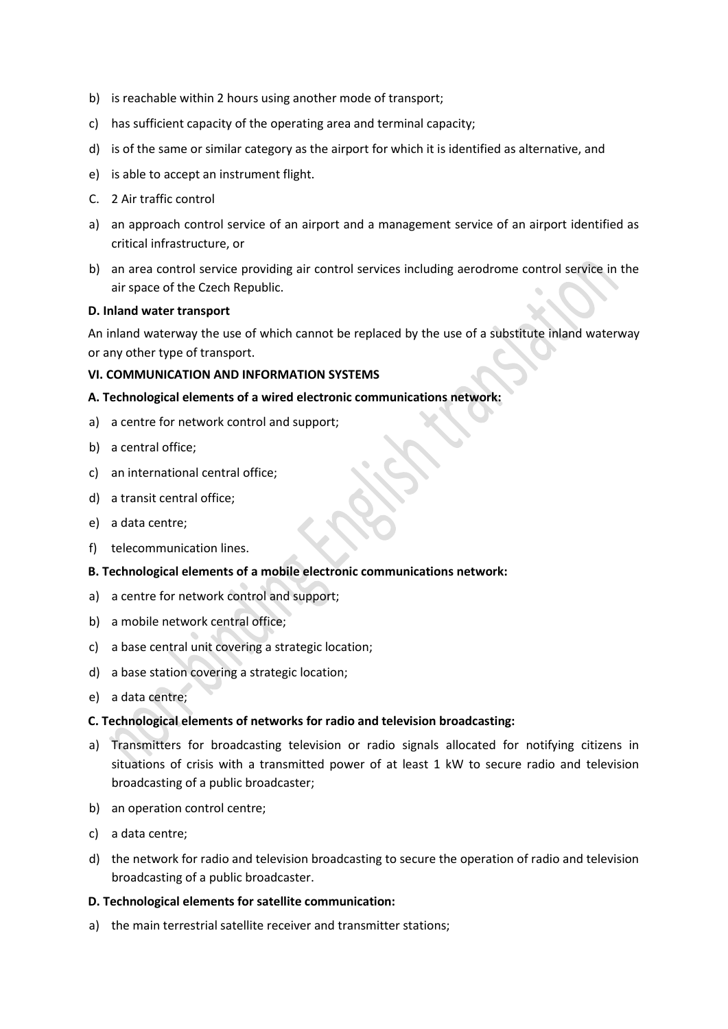- b) is reachable within 2 hours using another mode of transport;
- c) has sufficient capacity of the operating area and terminal capacity;
- d) is of the same or similar category as the airport for which it is identified as alternative, and
- e) is able to accept an instrument flight.
- C. 2 Air traffic control
- a) an approach control service of an airport and a management service of an airport identified as critical infrastructure, or
- b) an area control service providing air control services including aerodrome control service in the air space of the Czech Republic.

#### **D. Inland water transport**

An inland waterway the use of which cannot be replaced by the use of a substitute inland waterway or any other type of transport.

#### **VI. COMMUNICATION AND INFORMATION SYSTEMS**

#### **A. Technological elements of a wired electronic communications network:**

- a) a centre for network control and support;
- b) a central office;
- c) an international central office;
- d) a transit central office;
- e) a data centre;
- f) telecommunication lines.

#### **B. Technological elements of a mobile electronic communications network:**

- a) a centre for network control and support;
- b) a mobile network central office;
- c) a base central unit covering a strategic location;
- d) a base station covering a strategic location;
- e) a data centre;

#### **C. Technological elements of networks for radio and television broadcasting:**

- a) Transmitters for broadcasting television or radio signals allocated for notifying citizens in situations of crisis with a transmitted power of at least 1 kW to secure radio and television broadcasting of a public broadcaster;
- b) an operation control centre;
- c) a data centre;
- d) the network for radio and television broadcasting to secure the operation of radio and television broadcasting of a public broadcaster.

#### **D. Technological elements for satellite communication:**

a) the main terrestrial satellite receiver and transmitter stations;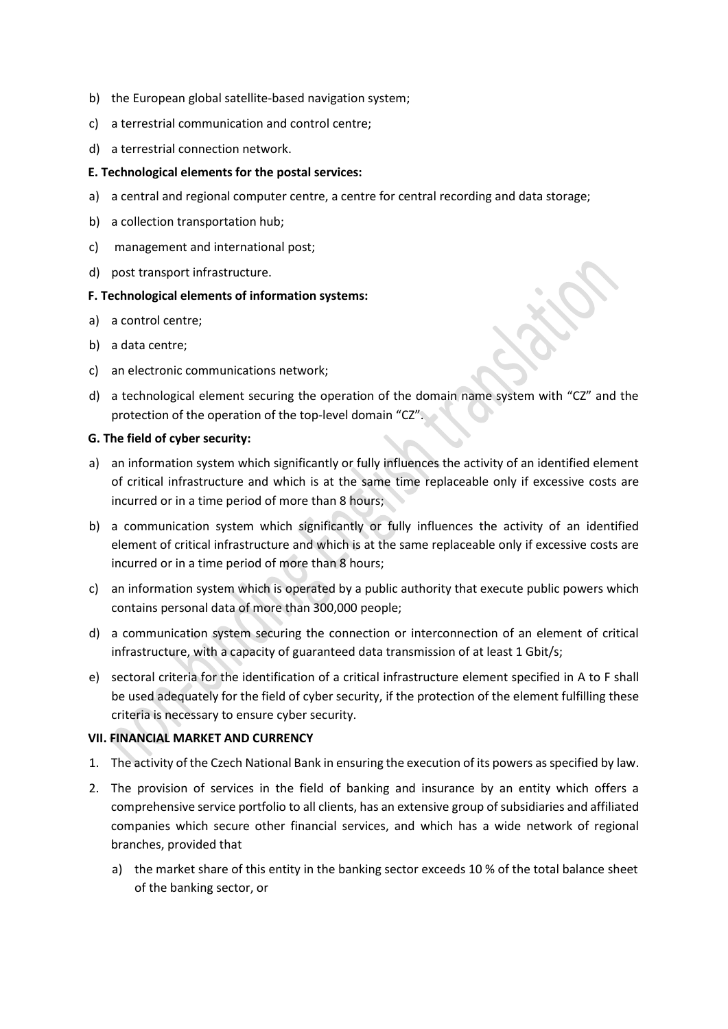- b) the European global satellite-based navigation system;
- c) a terrestrial communication and control centre;
- d) a terrestrial connection network.

# **E. Technological elements for the postal services:**

- a) a central and regional computer centre, a centre for central recording and data storage;
- b) a collection transportation hub;
- c) management and international post;
- d) post transport infrastructure.

# **F. Technological elements of information systems:**

- a) a control centre;
- b) a data centre;
- c) an electronic communications network;
- d) a technological element securing the operation of the domain name system with "CZ" and the protection of the operation of the top-level domain "CZ".

# **G. The field of cyber security:**

- a) an information system which significantly or fully influences the activity of an identified element of critical infrastructure and which is at the same time replaceable only if excessive costs are incurred or in a time period of more than 8 hours;
- b) a communication system which significantly or fully influences the activity of an identified element of critical infrastructure and which is at the same replaceable only if excessive costs are incurred or in a time period of more than 8 hours;
- c) an information system which is operated by a public authority that execute public powers which contains personal data of more than 300,000 people;
- d) a communication system securing the connection or interconnection of an element of critical infrastructure, with a capacity of guaranteed data transmission of at least 1 Gbit/s;
- e) sectoral criteria for the identification of a critical infrastructure element specified in A to F shall be used adequately for the field of cyber security, if the protection of the element fulfilling these criteria is necessary to ensure cyber security.

# **VII. FINANCIAL MARKET AND CURRENCY**

- 1. The activity of the Czech National Bank in ensuring the execution of its powers as specified by law.
- 2. The provision of services in the field of banking and insurance by an entity which offers a comprehensive service portfolio to all clients, has an extensive group of subsidiaries and affiliated companies which secure other financial services, and which has a wide network of regional branches, provided that
	- a) the market share of this entity in the banking sector exceeds 10 % of the total balance sheet of the banking sector, or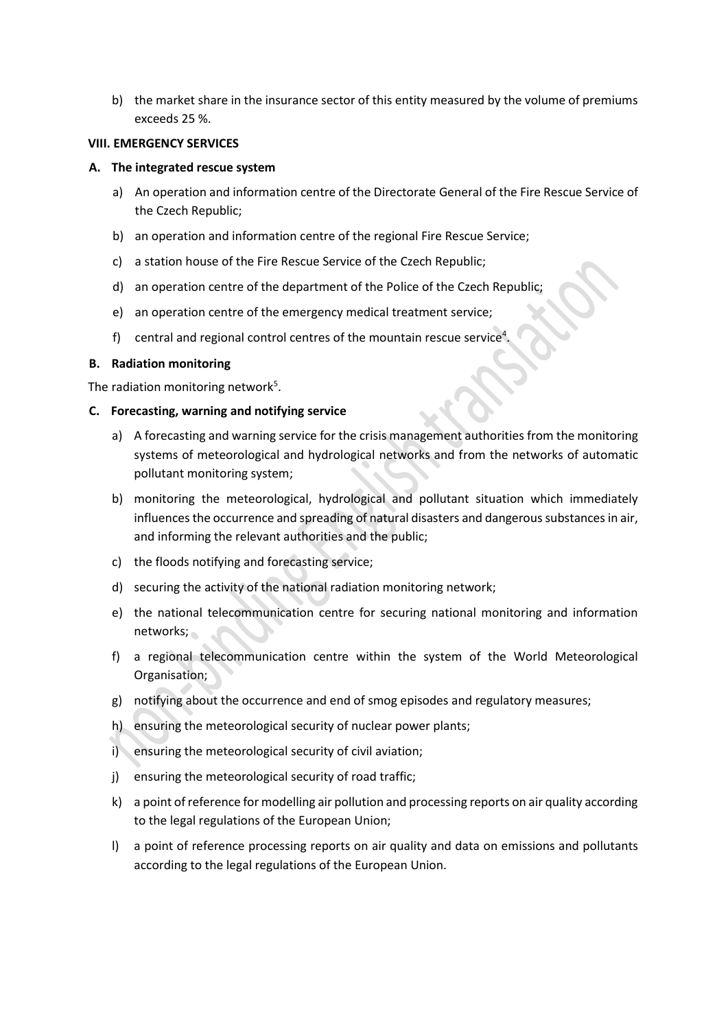b) the market share in the insurance sector of this entity measured by the volume of premiums exceeds 25 %.

#### **VIII. EMERGENCY SERVICES**

#### **A. The integrated rescue system**

- a) An operation and information centre of the Directorate General of the Fire Rescue Service of the Czech Republic;
- b) an operation and information centre of the regional Fire Rescue Service;
- c) a station house of the Fire Rescue Service of the Czech Republic;
- d) an operation centre of the department of the Police of the Czech Republic;
- e) an operation centre of the emergency medical treatment service;
- f) central and regional control centres of the mountain rescue service<sup>4</sup>.

#### **B. Radiation monitoring**

The radiation monitoring network<sup>5</sup>.

#### **C. Forecasting, warning and notifying service**

- a) A forecasting and warning service for the crisis management authorities from the monitoring systems of meteorological and hydrological networks and from the networks of automatic pollutant monitoring system;
- b) monitoring the meteorological, hydrological and pollutant situation which immediately influences the occurrence and spreading of natural disasters and dangerous substances in air, and informing the relevant authorities and the public;
- c) the floods notifying and forecasting service;
- d) securing the activity of the national radiation monitoring network;
- e) the national telecommunication centre for securing national monitoring and information networks;
- f) a regional telecommunication centre within the system of the World Meteorological Organisation;
- g) notifying about the occurrence and end of smog episodes and regulatory measures;
- h) ensuring the meteorological security of nuclear power plants;
- i) ensuring the meteorological security of civil aviation;
- j) ensuring the meteorological security of road traffic;
- k) a point of reference for modelling air pollution and processing reports on air quality according to the legal regulations of the European Union;
- l) a point of reference processing reports on air quality and data on emissions and pollutants according to the legal regulations of the European Union.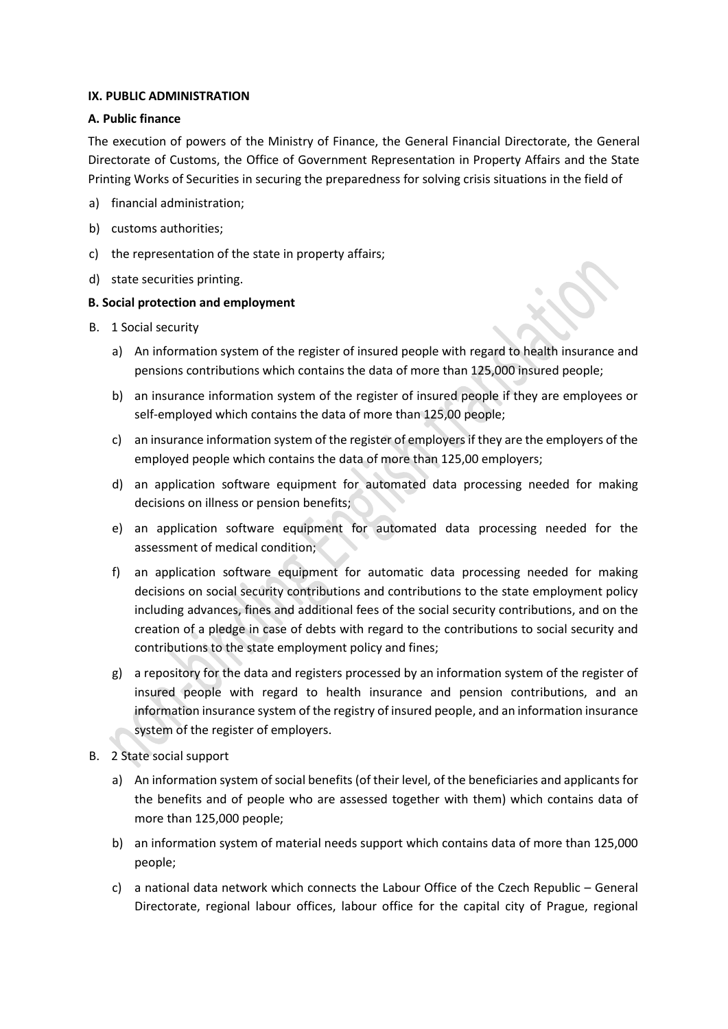#### **IX. PUBLIC ADMINISTRATION**

### **A. Public finance**

The execution of powers of the Ministry of Finance, the General Financial Directorate, the General Directorate of Customs, the Office of Government Representation in Property Affairs and the State Printing Works of Securities in securing the preparedness for solving crisis situations in the field of

- a) financial administration;
- b) customs authorities;
- c) the representation of the state in property affairs;
- d) state securities printing.

#### **B. Social protection and employment**

- B. 1 Social security
	- a) An information system of the register of insured people with regard to health insurance and pensions contributions which contains the data of more than 125,000 insured people;
	- b) an insurance information system of the register of insured people if they are employees or self-employed which contains the data of more than 125,00 people;
	- c) an insurance information system of the register of employers if they are the employers of the employed people which contains the data of more than 125,00 employers;
	- d) an application software equipment for automated data processing needed for making decisions on illness or pension benefits;
	- e) an application software equipment for automated data processing needed for the assessment of medical condition;
	- f) an application software equipment for automatic data processing needed for making decisions on social security contributions and contributions to the state employment policy including advances, fines and additional fees of the social security contributions, and on the creation of a pledge in case of debts with regard to the contributions to social security and contributions to the state employment policy and fines;
	- g) a repository for the data and registers processed by an information system of the register of insured people with regard to health insurance and pension contributions, and an information insurance system of the registry of insured people, and an information insurance system of the register of employers.
- B. 2 State social support
	- a) An information system of social benefits (of their level, of the beneficiaries and applicants for the benefits and of people who are assessed together with them) which contains data of more than 125,000 people;
	- b) an information system of material needs support which contains data of more than 125,000 people;
	- c) a national data network which connects the Labour Office of the Czech Republic General Directorate, regional labour offices, labour office for the capital city of Prague, regional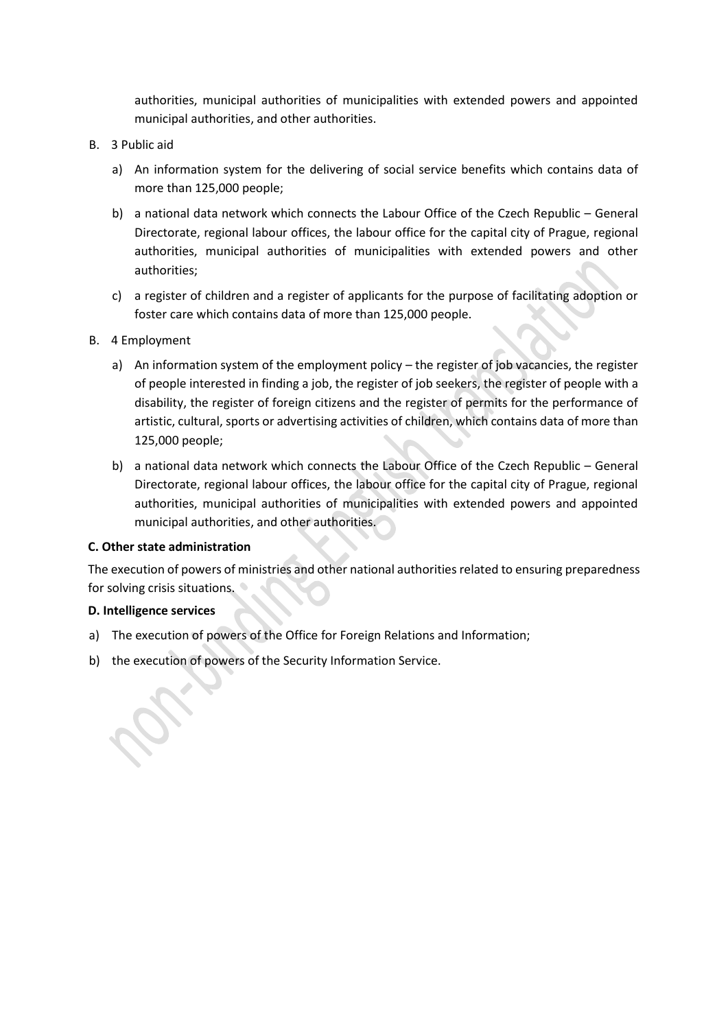authorities, municipal authorities of municipalities with extended powers and appointed municipal authorities, and other authorities.

- B. 3 Public aid
	- a) An information system for the delivering of social service benefits which contains data of more than 125,000 people;
	- b) a national data network which connects the Labour Office of the Czech Republic General Directorate, regional labour offices, the labour office for the capital city of Prague, regional authorities, municipal authorities of municipalities with extended powers and other authorities;
	- c) a register of children and a register of applicants for the purpose of facilitating adoption or foster care which contains data of more than 125,000 people.

# B. 4 Employment

- a) An information system of the employment policy the register of job vacancies, the register of people interested in finding a job, the register of job seekers, the register of people with a disability, the register of foreign citizens and the register of permits for the performance of artistic, cultural, sports or advertising activities of children, which contains data of more than 125,000 people;
- b) a national data network which connects the Labour Office of the Czech Republic General Directorate, regional labour offices, the labour office for the capital city of Prague, regional authorities, municipal authorities of municipalities with extended powers and appointed municipal authorities, and other authorities.

#### **C. Other state administration**

The execution of powers of ministries and other national authorities related to ensuring preparedness for solving crisis situations.

#### **D. Intelligence services**

- a) The execution of powers of the Office for Foreign Relations and Information;
- b) the execution of powers of the Security Information Service.